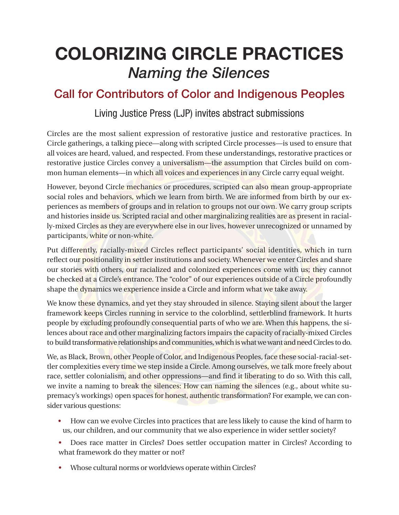# COLORIZING CIRCLE PRACTICES *Naming the Silences*

### Call for Contributors of Color and Indigenous Peoples

#### Living Justice Press (LJP) invites abstract submissions

Circles are the most salient expression of restorative justice and restorative practices. In Circle gatherings, a talking piece—along with scripted Circle processes—is used to ensure that all voices are heard, valued, and respected. From these understandings, restorative practices or restorative justice Circles convey a universalism—the assumption that Circles build on common human elements—in which all voices and experiences in any Circle carry equal weight.

However, beyond Circle mechanics or procedures, scripted can also mean group-appropriate social roles and behaviors, which we learn from birth. We are informed from birth by our experiences as members of groups and in relation to groups not our own. We carry group scripts and histories inside us. Scripted racial and other marginalizing realities are as present in racially-mixed Circles as they are everywhere else in our lives, however unrecognized or unnamed by participants, white or non-white.

Put differently, racially-mixed Circles reflect participants' social identities, which in turn reflect our positionality in settler institutions and society. Whenever we enter Circles and share our stories with others, our racialized and colonized experiences come with us; they cannot be checked at a Circle's entrance. The "color" of our experiences outside of a Circle profoundly shape the dynamics we experience inside a Circle and inform what we take away.

We know these dynamics, and yet they stay shrouded in silence. Staying silent about the larger framework keeps Circles running in service to the colorblind, settlerblind framework. It hurts people by excluding profoundly consequential parts of who we are. When this happens, the silences about race and other marginalizing factors impairs the capacity of racially-mixed Circles to build transformative relationships and communities, which is what we want and need Circles to do.

We, as Black, Brown, other People of Color, and Indigenous Peoples, face these social-racial-settler complexities every time we step inside a Circle. Among ourselves, we talk more freely about race, settler colonialism, and other oppressions—and find it liberating to do so. With this call, we invite a naming to break the silences: How can naming the silences (e.g., about white supremacy's workings) open spaces for honest, authentic transformation? For example, we can consider various questions:

- How can we evolve Circles into practices that are less likely to cause the kind of harm to us, our children, and our community that we also experience in wider settler society?
- Does race matter in Circles? Does settler occupation matter in Circles? According to what framework do they matter or not?
- Whose cultural norms or worldviews operate within Circles?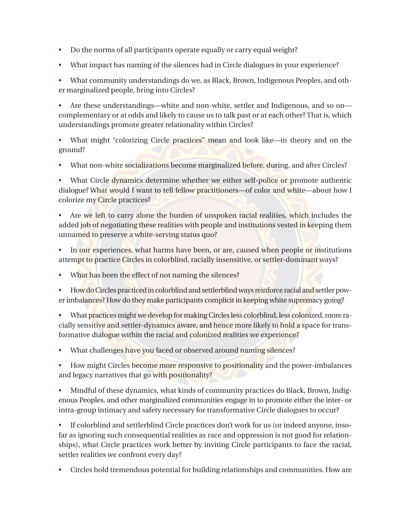- Do the norms of all participants operate equally or carry equal weight?
- What impact has naming of the silences had in Circle dialogues in your experience?

• What community understandings do we, as Black, Brown, Indigenous Peoples, and other marginalized people, bring into Circles?

• Are these understandings—white and non-white, settler and Indigenous, and so on complementary or at odds and likely to cause us to talk past or at each other? That is, which understandings promote greater relationality within Circles?

• What might "colorizing Circle practices" mean and look like—in theory and on the ground?

• What non-white socializations become marginalized before, during, and after Circles?

What Circle dynamics determine whether we either self-police or promote authentic dialogue? What would I want to tell fellow practitioners—of color and white—about how I colorize my Circle practices?

• Are we left to carry alone the burden of unspoken racial realities, which includes the added job of negotiating these realities with people and institutions vested in keeping them unnamed to preserve a white-serving status quo?

- In our experiences, what harms have been, or are, caused when people or institutions attempt to practice Circles in colorblind, racially insensitive, or settler-dominant ways?
- What has been the effect of not naming the silences?

• How do Circles practiced in colorblind and settlerblind ways reinforce racial and settler power imbalances? How do they make participants complicit in keeping white supremacy going?

What practices might we develop for making Circles less colorblind, less colonized, more racially sensitive and settler-dynamics aware, and hence more likely to hold a space for transformative dialogue within the racial and colonized realities we experience?

• What challenges have you faced or observed around naming silences?

• How might Circles become more responsive to positionality and the power-imbalances and legacy narratives that go with positionality?

• Mindful of these dynamics, what kinds of community practices do Black, Brown, Indigenous Peoples, and other marginalized communities engage in to promote either the inter- or intra-group intimacy and safety necessary for transformative Circle dialogues to occur?

• If colorblind and settlerblind Circle practices don't work for us (or indeed anyone, insofar as ignoring such consequential realities as race and oppression is not good for relationships), what Circle practices work better by inviting Circle participants to face the racial, settler realities we confront every day?

• Circles hold tremendous potential for building relationships and communities. How are